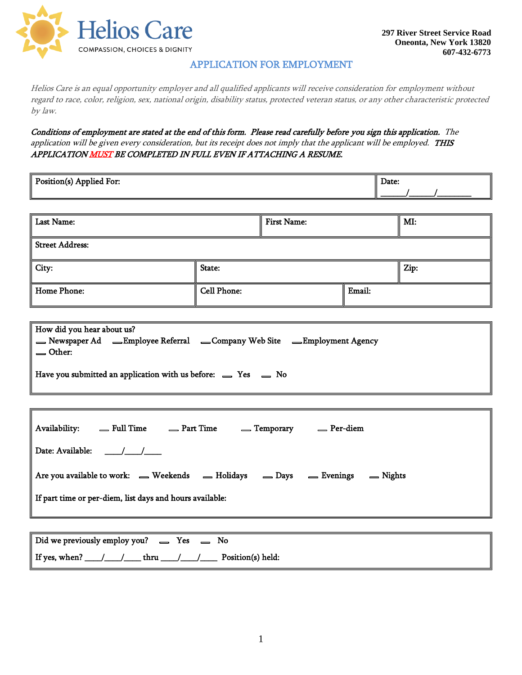

## APPLICATION FOR EMPLOYMENT

Helios Care is an equal opportunity employer and all qualified applicants will receive consideration for employment without regard to race, color, religion, sex, national origin, disability status, protected veteran status, or any other characteristic protected by law.

Conditions of employment are stated at the end of this form. Please read carefully before you sign this application. The application will be given every consideration, but its receipt does not imply that the applicant will be employed. THIS APPLICATION MUST BE COMPLETED IN FULL EVEN IF ATTACHING A RESUME.

| Position(s) Applied For:                                                                                                                                                                                               |                    |                    |        | Date: |  |
|------------------------------------------------------------------------------------------------------------------------------------------------------------------------------------------------------------------------|--------------------|--------------------|--------|-------|--|
| <b>Last Name:</b>                                                                                                                                                                                                      |                    | <b>First Name:</b> |        | MI:   |  |
| <b>Street Address:</b>                                                                                                                                                                                                 |                    |                    |        |       |  |
|                                                                                                                                                                                                                        |                    |                    |        |       |  |
| City:                                                                                                                                                                                                                  | State:             |                    |        | Zip:  |  |
| <b>Home Phone:</b>                                                                                                                                                                                                     | <b>Cell Phone:</b> |                    | Email: |       |  |
|                                                                                                                                                                                                                        |                    |                    |        |       |  |
| How did you hear about us?<br>= Newspaper Ad = Employee Referral = Company Web Site = Employment Agency<br><b>△</b> Other:<br>Have you submitted an application with us before: $\qquad \qquad$ Yes $\qquad \qquad$ No |                    |                    |        |       |  |
|                                                                                                                                                                                                                        |                    |                    |        |       |  |
| Availability:  — Full Time  — Part Time  — Temporary  — Per-diem<br>Date: Available: / / /                                                                                                                             |                    |                    |        |       |  |
| Are you available to work: _ Weekends _ Holidays _ Days _ Evenings _ Nights<br>If part time or per-diem, list days and hours available:                                                                                |                    |                    |        |       |  |
|                                                                                                                                                                                                                        |                    |                    |        |       |  |

Did we previously employ you?  $\qquad \qquad$  Yes  $\qquad \qquad$  No If yes, when? \_\_\_\_/\_\_\_\_\_/\_\_\_\_\_\_ thru \_\_\_\_/\_\_\_\_\_/\_\_\_\_\_\_\_\_ Position(s) held: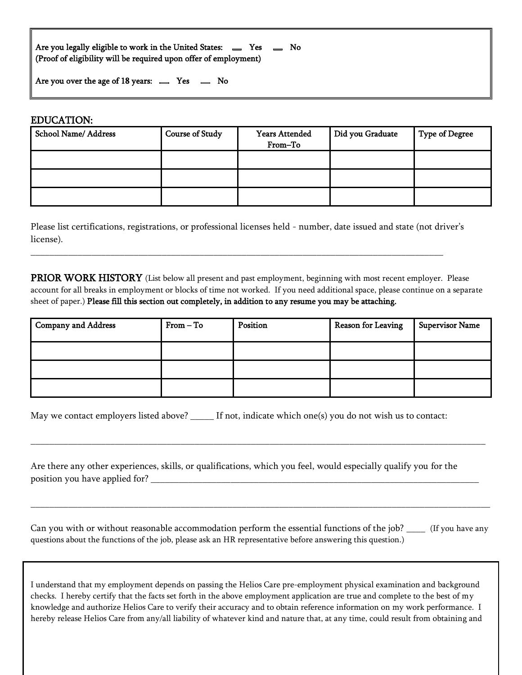Are you legally eligible to work in the United States:  $\qquad \qquad$  Yes  $\qquad \qquad$  No (Proof of eligibility will be required upon offer of employment)

Are you over the age of 18 years:  $\equiv$  Yes  $\equiv$  No

#### EDUCATION:

| <b>School Name/Address</b> | <b>Course of Study</b> | <b>Years Attended</b><br>From-To | Did you Graduate | <b>Type of Degree</b> |
|----------------------------|------------------------|----------------------------------|------------------|-----------------------|
|                            |                        |                                  |                  |                       |
|                            |                        |                                  |                  |                       |
|                            |                        |                                  |                  |                       |

Please list certifications, registrations, or professional licenses held - number, date issued and state (not driver's license).

\_\_\_\_\_\_\_\_\_\_\_\_\_\_\_\_\_\_\_\_\_\_\_\_\_\_\_\_\_\_\_\_\_\_\_\_\_\_\_\_\_\_\_\_\_\_\_\_\_\_\_\_\_\_\_\_\_\_\_\_\_\_\_\_\_\_\_\_\_\_\_\_\_\_\_\_\_\_\_\_\_\_\_\_\_\_\_\_

PRIOR WORK HISTORY (List below all present and past employment, beginning with most recent employer. Please account for all breaks in employment or blocks of time not worked. If you need additional space, please continue on a separate sheet of paper.) Please fill this section out completely, in addition to any resume you may be attaching.

| Company and Address | $From - To$ | Position | <b>Reason for Leaving</b> | <b>Supervisor Name</b> |
|---------------------|-------------|----------|---------------------------|------------------------|
|                     |             |          |                           |                        |
|                     |             |          |                           |                        |
|                     |             |          |                           |                        |

\_\_\_\_\_\_\_\_\_\_\_\_\_\_\_\_\_\_\_\_\_\_\_\_\_\_\_\_\_\_\_\_\_\_\_\_\_\_\_\_\_\_\_\_\_\_\_\_\_\_\_\_\_\_\_\_\_\_\_\_\_\_\_\_\_\_\_\_\_\_\_\_\_\_\_\_\_\_\_\_\_\_\_\_\_\_\_\_\_\_\_\_\_\_\_\_\_

| May we contact employers listed above? |  | If not, indicate which one(s) you do not wish us to contact: |
|----------------------------------------|--|--------------------------------------------------------------|
|----------------------------------------|--|--------------------------------------------------------------|

Are there any other experiences, skills, or qualifications, which you feel, would especially qualify you for the position you have applied for?

Can you with or without reasonable accommodation perform the essential functions of the job? \_\_\_\_ (If you have any questions about the functions of the job, please ask an HR representative before answering this question.)

\_\_\_\_\_\_\_\_\_\_\_\_\_\_\_\_\_\_\_\_\_\_\_\_\_\_\_\_\_\_\_\_\_\_\_\_\_\_\_\_\_\_\_\_\_\_\_\_\_\_\_\_\_\_\_\_\_\_\_\_\_\_\_\_\_\_\_\_\_\_\_\_\_\_\_\_\_\_\_\_\_\_\_\_\_\_\_\_\_\_\_\_\_\_\_\_\_\_

I understand that my employment depends on passing the Helios Care pre-employment physical examination and background checks. I hereby certify that the facts set forth in the above employment application are true and complete to the best of my knowledge and authorize Helios Care to verify their accuracy and to obtain reference information on my work performance. I hereby release Helios Care from any/all liability of whatever kind and nature that, at any time, could result from obtaining and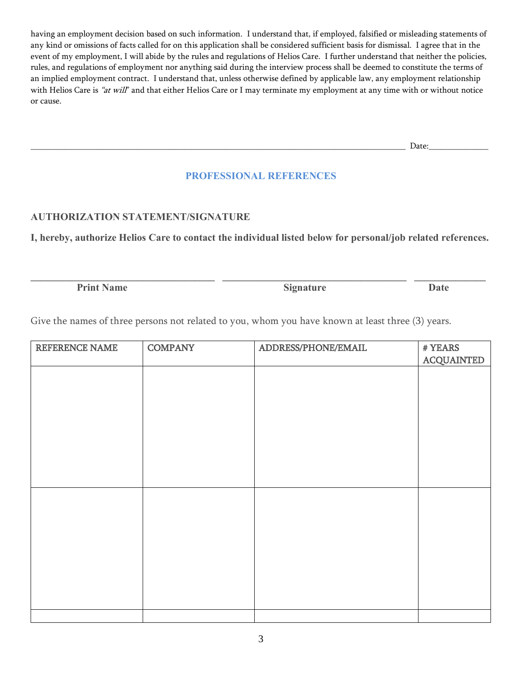having an employment decision based on such information. I understand that, if employed, falsified or misleading statements of any kind or omissions of facts called for on this application shall be considered sufficient basis for dismissal. I agree that in the event of my employment, I will abide by the rules and regulations of Helios Care. I further understand that neither the policies, rules, and regulations of employment nor anything said during the interview process shall be deemed to constitute the terms of an implied employment contract. I understand that, unless otherwise defined by applicable law, any employment relationship with Helios Care is "at will" and that either Helios Care or I may terminate my employment at any time with or without notice or cause.

\_\_\_\_\_\_\_\_\_\_\_\_\_\_\_\_\_\_\_\_\_\_\_\_\_\_\_\_\_\_\_\_\_\_\_\_\_\_\_\_\_\_\_\_\_\_\_\_\_\_\_\_\_\_\_\_\_\_\_\_\_\_\_\_\_\_\_\_\_\_\_\_\_\_\_\_\_\_\_\_\_\_\_\_\_\_\_\_ Date:\_\_\_\_\_\_\_\_\_\_\_\_\_\_

## **PROFESSIONAL REFERENCES**

## **AUTHORIZATION STATEMENT/SIGNATURE**

**I, hereby, authorize Helios Care to contact the individual listed below for personal/job related references.**

**\_\_\_\_\_\_\_\_\_\_\_\_\_\_\_\_\_\_\_\_\_\_\_\_\_\_\_\_\_\_\_\_\_\_\_\_ \_\_\_\_\_\_\_\_\_\_\_\_\_\_\_\_\_\_\_\_\_\_\_\_\_\_\_\_\_\_\_\_\_\_\_\_ \_\_\_\_\_\_\_\_\_\_\_\_\_\_**

**Print Name Signature Date** 

Give the names of three persons not related to you, whom you have known at least three (3) years.

| REFERENCE NAME | <b>COMPANY</b> | ADDRESS/PHONE/EMAIL | # YEARS           |
|----------------|----------------|---------------------|-------------------|
|                |                |                     | <b>ACQUAINTED</b> |
|                |                |                     |                   |
|                |                |                     |                   |
|                |                |                     |                   |
|                |                |                     |                   |
|                |                |                     |                   |
|                |                |                     |                   |
|                |                |                     |                   |
|                |                |                     |                   |
|                |                |                     |                   |
|                |                |                     |                   |
|                |                |                     |                   |
|                |                |                     |                   |
|                |                |                     |                   |
|                |                |                     |                   |
|                |                |                     |                   |
|                |                |                     |                   |
|                |                |                     |                   |
|                |                |                     |                   |
|                |                |                     |                   |
|                |                |                     |                   |
|                |                |                     |                   |
|                |                |                     |                   |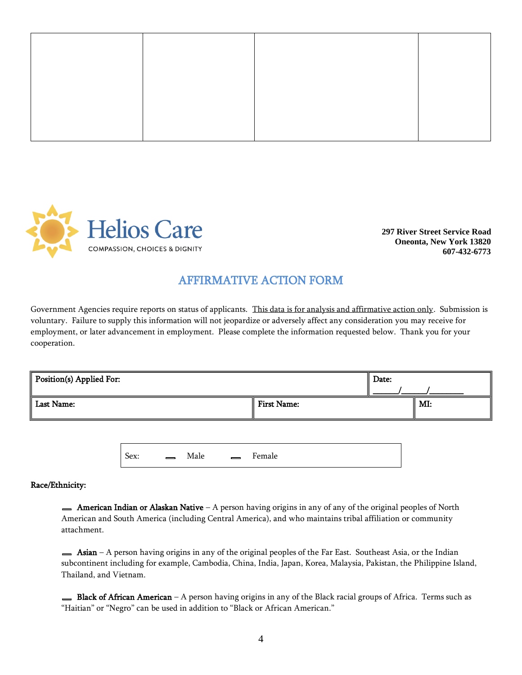

**297 River Street Service Road Oneonta, New York 13820 607-432-6773**

# AFFIRMATIVE ACTION FORM

Government Agencies require reports on status of applicants. This data is for analysis and affirmative action only. Submission is voluntary. Failure to supply this information will not jeopardize or adversely affect any consideration you may receive for employment, or later advancement in employment. Please complete the information requested below. Thank you for your cooperation.

| Position(s) Applied For: |                    | Date: |     |
|--------------------------|--------------------|-------|-----|
| <b>Last Name:</b>        | <b>First Name:</b> |       | MI: |

Sex:  $\qquad \qquad \square \qquad \text{Male} \qquad \square \qquad \text{Female}$ 

#### Race/Ethnicity:

**American Indian or Alaskan Native** – A person having origins in any of any of the original peoples of North American and South America (including Central America), and who maintains tribal affiliation or community attachment.

**Asian** – A person having origins in any of the original peoples of the Far East. Southeast Asia, or the Indian subcontinent including for example, Cambodia, China, India, Japan, Korea, Malaysia, Pakistan, the Philippine Island, Thailand, and Vietnam.

Black of African American – A person having origins in any of the Black racial groups of Africa. Terms such as "Haitian" or "Negro" can be used in addition to "Black or African American."